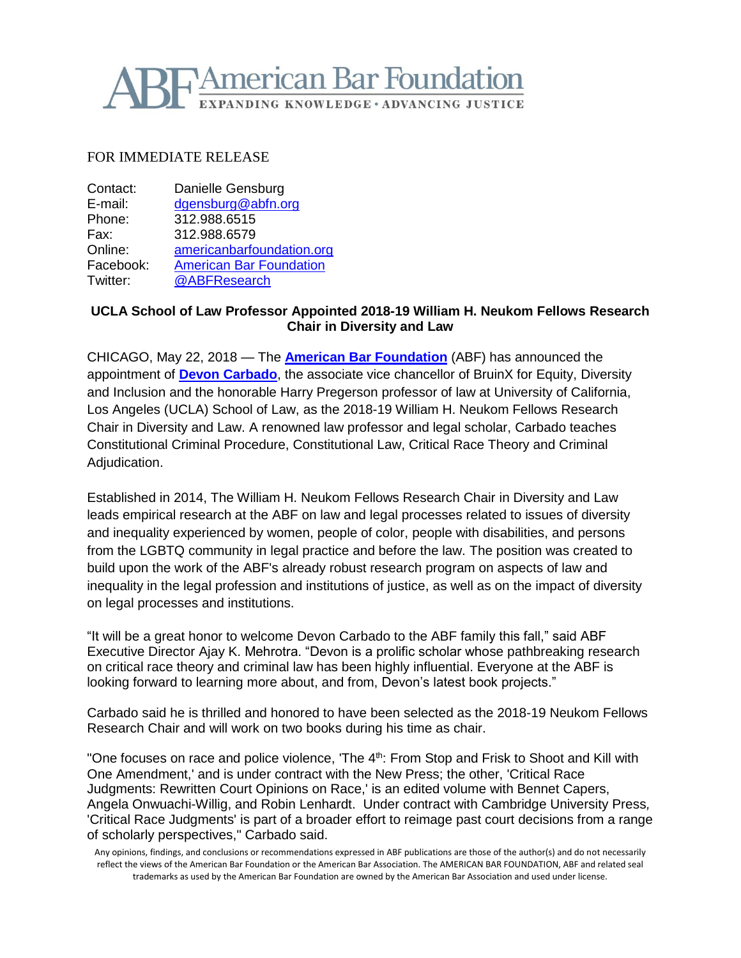## **Hamerican Bar Foundation** EXPANDING KNOWLEDGE · ADVANCING JUSTICE

### FOR IMMEDIATE RELEASE

| Contact:  | Danielle Gensburg              |
|-----------|--------------------------------|
| E-mail:   | dgensburg@abfn.org             |
| Phone:    | 312.988.6515                   |
| Fax:      | 312.988.6579                   |
| Online:   | americanbarfoundation.org      |
| Facebook: | <b>American Bar Foundation</b> |
| Twitter:  | @ABFResearch                   |

## **UCLA School of Law Professor Appointed 2018-19 William H. Neukom Fellows Research Chair in Diversity and Law**

CHICAGO, May 22, 2018 — The **[American Bar](http://www.americanbarfoundation.org/index.html) Foundation** (ABF) has announced the appointment of **[Devon Carbado](https://law.ucla.edu/faculty/faculty-profiles/devon-w-carbado/)**, the associate vice chancellor of BruinX for Equity, Diversity and Inclusion and the honorable Harry Pregerson professor of law at University of California, Los Angeles (UCLA) School of Law, as the 2018-19 William H. Neukom Fellows Research Chair in Diversity and Law. A renowned law professor and legal scholar, Carbado teaches Constitutional Criminal Procedure, Constitutional Law, Critical Race Theory and Criminal Adjudication.

Established in 2014, The William H. Neukom Fellows Research Chair in Diversity and Law leads empirical research at the ABF on law and legal processes related to issues of diversity and inequality experienced by women, people of color, people with disabilities, and persons from the LGBTQ community in legal practice and before the law. The position was created to build upon the work of the ABF's already robust research program on aspects of law and inequality in the legal profession and institutions of justice, as well as on the impact of diversity on legal processes and institutions.

"It will be a great honor to welcome Devon Carbado to the ABF family this fall," said ABF Executive Director Ajay K. Mehrotra. "Devon is a prolific scholar whose pathbreaking research on critical race theory and criminal law has been highly influential. Everyone at the ABF is looking forward to learning more about, and from, Devon's latest book projects."

Carbado said he is thrilled and honored to have been selected as the 2018-19 Neukom Fellows Research Chair and will work on two books during his time as chair.

"One focuses on race and police violence, 'The 4<sup>th</sup>: From Stop and Frisk to Shoot and Kill with One Amendment,' and is under contract with the New Press; the other, 'Critical Race Judgments: Rewritten Court Opinions on Race,' is an edited volume with Bennet Capers, Angela Onwuachi-Willig, and Robin Lenhardt. Under contract with Cambridge University Press*,*  'Critical Race Judgments' is part of a broader effort to reimage past court decisions from a range of scholarly perspectives," Carbado said.

Any opinions, findings, and conclusions or recommendations expressed in ABF publications are those of the author(s) and do not necessarily reflect the views of the American Bar Foundation or the American Bar Association. The AMERICAN BAR FOUNDATION, ABF and related seal trademarks as used by the American Bar Foundation are owned by the American Bar Association and used under license.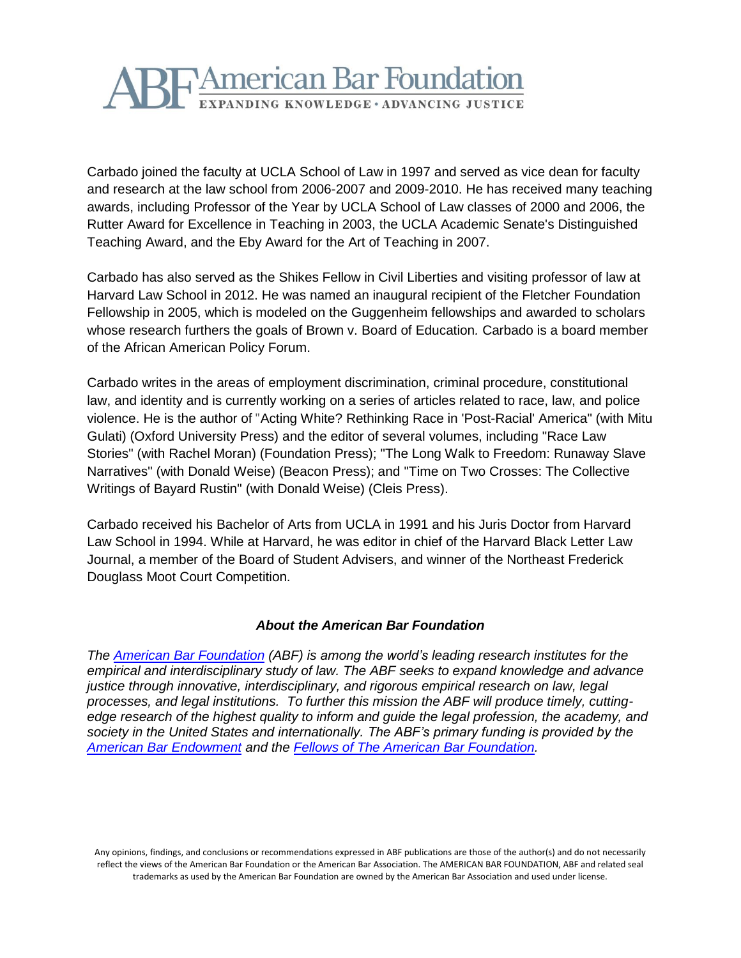# **TAmerican Bar Foundation** EXPANDING KNOWLEDGE · ADVANCING JUSTICE

Carbado joined the faculty at UCLA School of Law in 1997 and served as vice dean for faculty and research at the law school from 2006-2007 and 2009-2010. He has received many teaching awards, including Professor of the Year by UCLA School of Law classes of 2000 and 2006, the Rutter Award for Excellence in Teaching in 2003, the UCLA Academic Senate's Distinguished Teaching Award, and the Eby Award for the Art of Teaching in 2007.

Carbado has also served as the Shikes Fellow in Civil Liberties and visiting professor of law at Harvard Law School in 2012. He was named an inaugural recipient of the Fletcher Foundation Fellowship in 2005, which is modeled on the Guggenheim fellowships and awarded to scholars whose research furthers the goals of Brown v. Board of Education*.* Carbado is a board member of the African American Policy Forum.

Carbado writes in the areas of employment discrimination, criminal procedure, constitutional law, and identity and is currently working on a series of articles related to race, law, and police violence. He is the author of "Acting White? Rethinking Race in 'Post-Racial' America" (with Mitu Gulati) (Oxford University Press) and the editor of several volumes, including "Race Law Stories" (with Rachel Moran) (Foundation Press); "The Long Walk to Freedom: Runaway Slave Narratives" (with Donald Weise) (Beacon Press); and "Time on Two Crosses: The Collective Writings of Bayard Rustin" (with Donald Weise) (Cleis Press).

Carbado received his Bachelor of Arts from UCLA in 1991 and his Juris Doctor from Harvard Law School in 1994. While at Harvard, he was editor in chief of the Harvard Black Letter Law Journal, a member of the Board of Student Advisers, and winner of the Northeast Frederick Douglass Moot Court Competition.

## *About the American Bar Foundation*

*The [American Bar Foundation](http://www.americanbarfoundation.org/) (ABF) is among the world's leading research institutes for the empirical and interdisciplinary study of law. The ABF seeks to expand knowledge and advance justice through innovative, interdisciplinary, and rigorous empirical research on law, legal processes, and legal institutions. To further this mission the ABF will produce timely, cuttingedge research of the highest quality to inform and guide the legal profession, the academy, and society in the United States and internationally. The ABF's primary funding is provided by the [American Bar Endowment](http://www.abendowment.org/) and the [Fellows of The American Bar Foundation.](http://www.americanbarfoundation.org/fellows/index.html)*

Any opinions, findings, and conclusions or recommendations expressed in ABF publications are those of the author(s) and do not necessarily reflect the views of the American Bar Foundation or the American Bar Association. The AMERICAN BAR FOUNDATION, ABF and related seal trademarks as used by the American Bar Foundation are owned by the American Bar Association and used under license.